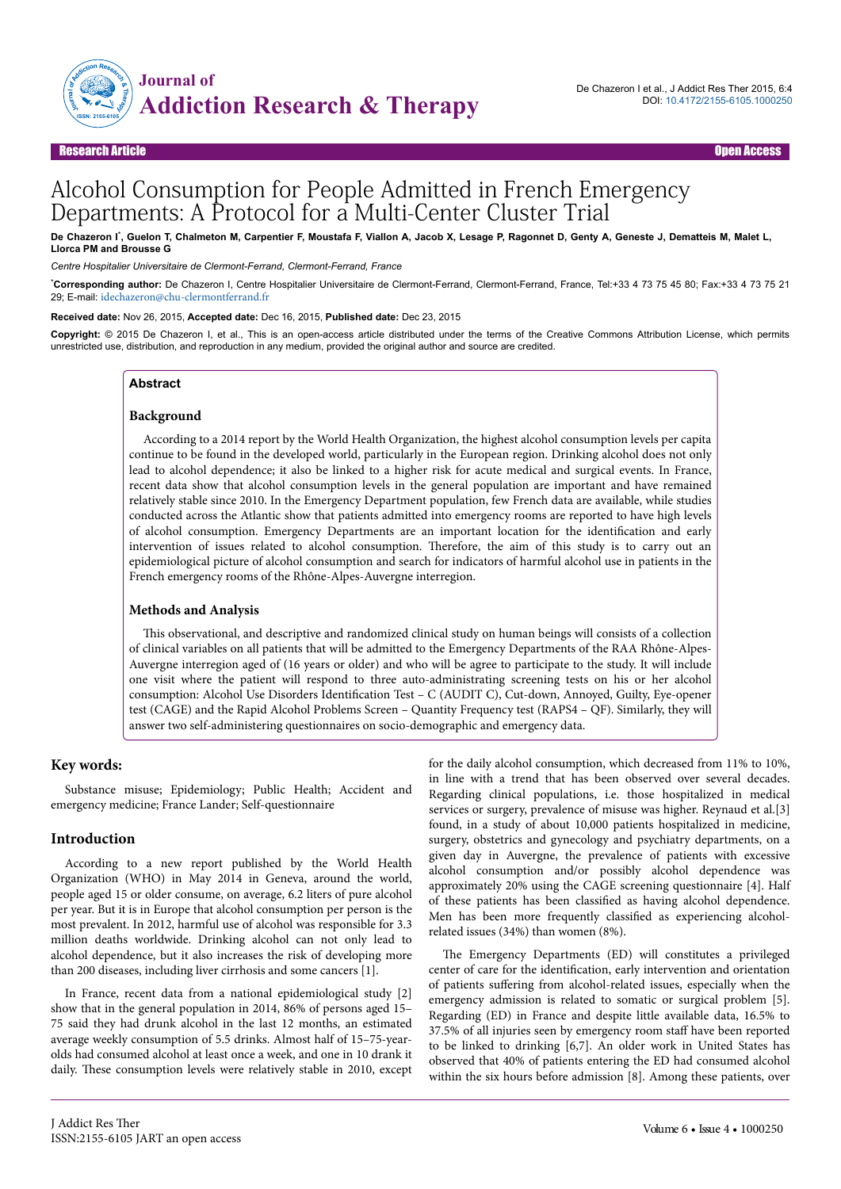

# Alcohol Consumption for People Admitted in French Emergency Departments: A Protocol for a Multi-Center Cluster Trial

**De Chazeron I**\* **, Guelon T, Chalmeton M, Carpentier F, Moustafa F, Viallon A, Jacob X, Lesage P, Ragonnet D, Genty A, Geneste J, Dematteis M, Malet L, Llorca PM and Brousse G**

*Centre Hospitalier Universitaire de Clermont-Ferrand, Clermont-Ferrand, France*

\***Corresponding author:** De Chazeron I, Centre Hospitalier Universitaire de Clermont-Ferrand, Clermont-Ferrand, France, Tel:+33 4 73 75 45 80; Fax:+33 4 73 75 21 29; E-mail: [idechazeron@chu-clermontferrand.fr](mailto:idechazeron@chu-clermontferrand.fr)

#### **Received date:** Nov 26, 2015, **Accepted date:** Dec 16, 2015, **Published date:** Dec 23, 2015

**Copyright:** © 2015 De Chazeron I, et al., This is an open-access article distributed under the terms of the Creative Commons Attribution License, which permits unrestricted use, distribution, and reproduction in any medium, provided the original author and source are credited.

## **Abstract**

#### **Background**

According to a 2014 report by the World Health Organization, the highest alcohol consumption levels per capita continue to be found in the developed world, particularly in the European region. Drinking alcohol does not only lead to alcohol dependence; it also be linked to a higher risk for acute medical and surgical events. In France, recent data show that alcohol consumption levels in the general population are important and have remained relatively stable since 2010. In the Emergency Department population, few French data are available, while studies conducted across the Atlantic show that patients admitted into emergency rooms are reported to have high levels of alcohol consumption. Emergency Departments are an important location for the identification and early intervention of issues related to alcohol consumption. Нerefore, the aim of this study is to carry out an epidemiological picture of alcohol consumption and search for indicators of harmful alcohol use in patients in the French emergency rooms of the Rhône-Alpes-Auvergne interregion.

#### **Methods and Analysis**

Нis observational, and descriptive and randomized clinical study on human beings will consists of a collection of clinical variables on all patients that will be admitted to the Emergency Departments of the RAA Rhône-Alpes-Auvergne interregion aged of (16 years or older) and who will be agree to participate to the study. It will include one visit where the patient will respond to three auto-administrating screening tests on his or her alcohol consumption: Alcohol Use Disorders Identification Test - C (AUDIT C), Cut-down, Annoyed, Guilty, Eye-opener test (CAGE) and the Rapid Alcohol Problems Screen – Quantity Frequency test (RAPS4 – QF). Similarly, they will answer two self-administering questionnaires on socio-demographic and emergency data.

## **Key words:**

Substance misuse; Epidemiology; Public Health; Accident and emergency medicine; France Lander; Self-questionnaire

## **Introduction**

According to a new report published by the World Health Organization (WHO) in May 2014 in Geneva, around the world, people aged 15 or older consume, on average, 6.2 liters of pure alcohol per year. But it is in Europe that alcohol consumption per person is the most prevalent. In 2012, harmful use of alcohol was responsible for 3.3 million deaths worldwide. Drinking alcohol can not only lead to alcohol dependence, but it also increases the risk of developing more than 200 diseases, including liver cirrhosis and some cancers [1].

In France, recent data from a national epidemiological study [2] show that in the general population in 2014, 86% of persons aged 15– 75 said they had drunk alcohol in the last 12 months, an estimated average weekly consumption of 5.5 drinks. Almost half of 15–75-yearolds had consumed alcohol at least once a week, and one in 10 drank it daily. Нese consumption levels were relatively stable in 2010, except

for the daily alcohol consumption, which decreased from 11% to 10%, in line with a trend that has been observed over several decades. Regarding clinical populations, i.e. those hospitalized in medical services or surgery, prevalence of misuse was higher. Reynaud et al.[3] found, in a study of about 10,000 patients hospitalized in medicine, surgery, obstetrics and gynecology and psychiatry departments, on a given day in Auvergne, the prevalence of patients with excessive alcohol consumption and/or possibly alcohol dependence was approximately 20% using the CAGE screening questionnaire [4]. Half of these patients has been classified as having alcohol dependence. Men has been more frequently classified as experiencing alcoholrelated issues (34%) than women (8%).

The Emergency Departments (ED) will constitutes a privileged center of care for the identification, early intervention and orientation of patients suffering from alcohol-related issues, especially when the emergency admission is related to somatic or surgical problem [5]. Regarding (ED) in France and despite little available data, 16.5% to 37.5% of all injuries seen by emergency room staff have been reported to be linked to drinking [6,7]. An older work in United States has observed that 40% of patients entering the ED had consumed alcohol within the six hours before admission [8]. Among these patients, over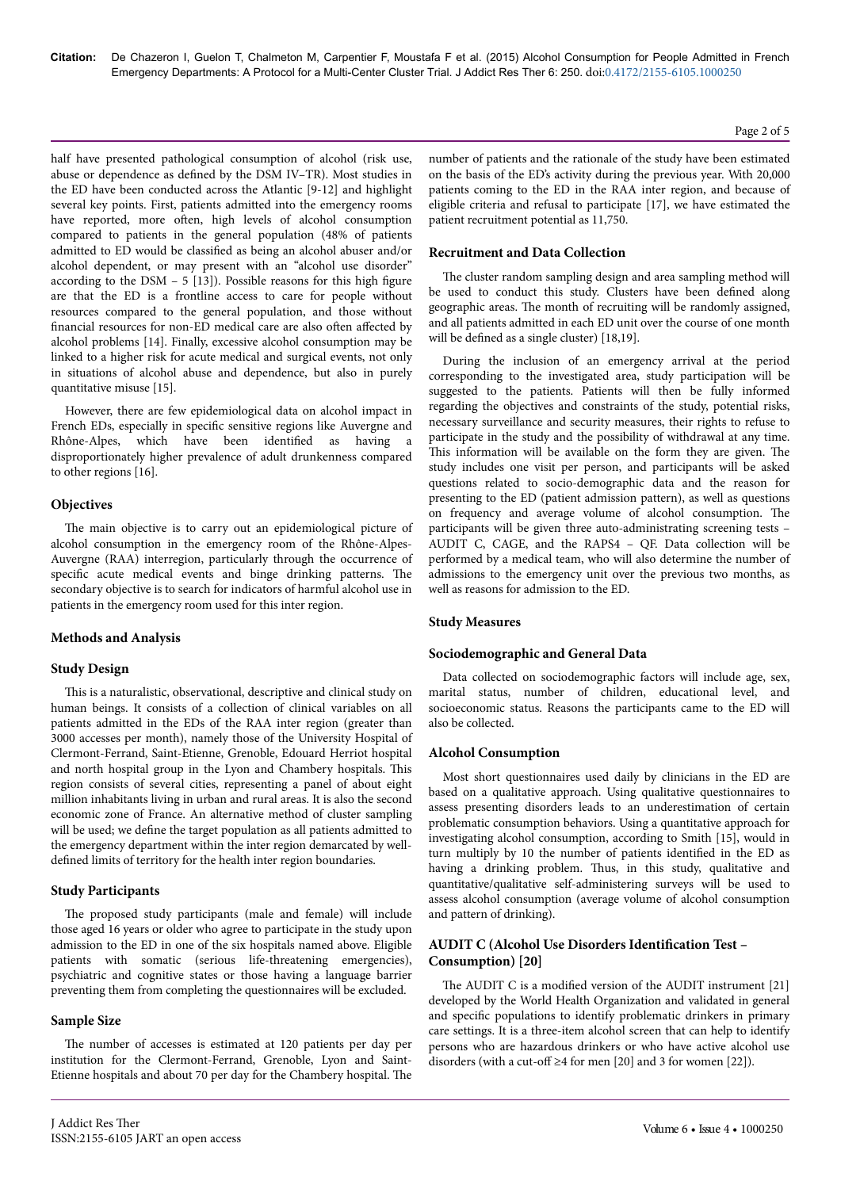half have presented pathological consumption of alcohol (risk use, abuse or dependence as defined by the DSM IV–TR). Most studies in the ED have been conducted across the Atlantic [9-12] and highlight several key points. First, patients admitted into the emergency rooms have reported, more often, high levels of alcohol consumption compared to patients in the general population (48% of patients admitted to ED would be classified as being an alcohol abuser and/or alcohol dependent, or may present with an "alcohol use disorder" according to the DSM  $- 5$  [13]). Possible reasons for this high figure are that the ED is a frontline access to care for people without resources compared to the general population, and those without financial resources for non-ED medical care are also often affected by alcohol problems [14]. Finally, excessive alcohol consumption may be linked to a higher risk for acute medical and surgical events, not only in situations of alcohol abuse and dependence, but also in purely quantitative misuse [15].

However, there are few epidemiological data on alcohol impact in French EDs, especially in specific sensitive regions like Auvergne and Rhône-Alpes, which have been identified as having a disproportionately higher prevalence of adult drunkenness compared to other regions [16].

## **Objectives**

The main objective is to carry out an epidemiological picture of alcohol consumption in the emergency room of the Rhône-Alpes-Auvergne (RAA) interregion, particularly through the occurrence of specific acute medical events and binge drinking patterns. The secondary objective is to search for indicators of harmful alcohol use in patients in the emergency room used for this inter region.

## **Methods and Analysis**

## **Study Design**

This is a naturalistic, observational, descriptive and clinical study on human beings. It consists of a collection of clinical variables on all patients admitted in the EDs of the RAA inter region (greater than 3000 accesses per month), namely those of the University Hospital of Clermont-Ferrand, Saint-Etienne, Grenoble, Edouard Herriot hospital and north hospital group in the Lyon and Chambery hospitals. Нis region consists of several cities, representing a panel of about eight million inhabitants living in urban and rural areas. It is also the second economic zone of France. An alternative method of cluster sampling will be used; we define the target population as all patients admitted to the emergency department within the inter region demarcated by welldefined limits of territory for the health inter region boundaries.

## **Study Participants**

The proposed study participants (male and female) will include those aged 16 years or older who agree to participate in the study upon admission to the ED in one of the six hospitals named above. Eligible patients with somatic (serious life-threatening emergencies), psychiatric and cognitive states or those having a language barrier preventing them from completing the questionnaires will be excluded.

## **Sample Size**

The number of accesses is estimated at 120 patients per day per institution for the Clermont-Ferrand, Grenoble, Lyon and Saint-Etienne hospitals and about 70 per day for the Chambery hospital. Нe

number of patients and the rationale of the study have been estimated on the basis of the ED's activity during the previous year. With 20,000 patients coming to the ED in the RAA inter region, and because of eligible criteria and refusal to participate [17], we have estimated the patient recruitment potential as 11,750.

## **Recruitment and Data Collection**

The cluster random sampling design and area sampling method will be used to conduct this study. Clusters have been defined along geographic areas. Нe month of recruiting will be randomly assigned, and all patients admitted in each ED unit over the course of one month will be defined as a single cluster) [18,19].

During the inclusion of an emergency arrival at the period corresponding to the investigated area, study participation will be suggested to the patients. Patients will then be fully informed regarding the objectives and constraints of the study, potential risks, necessary surveillance and security measures, their rights to refuse to participate in the study and the possibility of withdrawal at any time. This information will be available on the form they are given. The study includes one visit per person, and participants will be asked questions related to socio-demographic data and the reason for presenting to the ED (patient admission pattern), as well as questions on frequency and average volume of alcohol consumption. Нe participants will be given three auto-administrating screening tests – AUDIT C, CAGE, and the RAPS4 – QF. Data collection will be performed by a medical team, who will also determine the number of admissions to the emergency unit over the previous two months, as well as reasons for admission to the ED.

## **Study Measures**

## **Sociodemographic and General Data**

Data collected on sociodemographic factors will include age, sex, marital status, number of children, educational level, and socioeconomic status. Reasons the participants came to the ED will also be collected.

## **Alcohol Consumption**

Most short questionnaires used daily by clinicians in the ED are based on a qualitative approach. Using qualitative questionnaires to assess presenting disorders leads to an underestimation of certain problematic consumption behaviors. Using a quantitative approach for investigating alcohol consumption, according to Smith [15], would in turn multiply by 10 the number of patients identified in the ED as having a drinking problem. Thus, in this study, qualitative and quantitative/qualitative self-administering surveys will be used to assess alcohol consumption (average volume of alcohol consumption and pattern of drinking).

## **AUDIT C (Alcohol Use Disorders Identification Test – Consumption) [20]**

The AUDIT C is a modified version of the AUDIT instrument [21] developed by the World Health Organization and validated in general and specific populations to identify problematic drinkers in primary care settings. It is a three-item alcohol screen that can help to identify persons who are hazardous drinkers or who have active alcohol use disorders (with a cut-off ≥4 for men [20] and 3 for women [22]).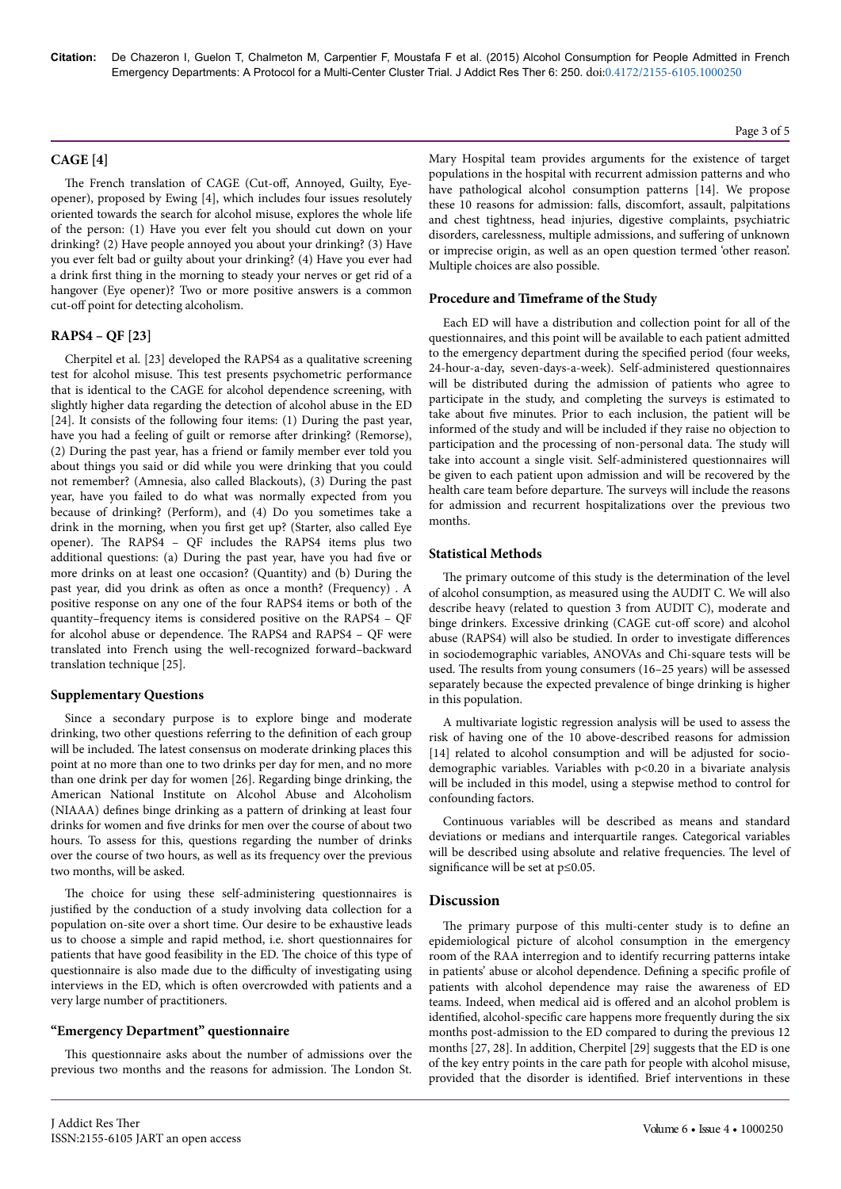## **CAGE [4]**

The French translation of CAGE (Cut-off, Annoyed, Guilty, Eyeopener), proposed by Ewing [4], which includes four issues resolutely oriented towards the search for alcohol misuse, explores the whole life of the person: (1) Have you ever felt you should cut down on your drinking? (2) Have people annoyed you about your drinking? (3) Have you ever felt bad or guilty about your drinking? (4) Have you ever had a drink first thing in the morning to steady your nerves or get rid of a hangover (Eye opener)? Two or more positive answers is a common cut-off point for detecting alcoholism.

## **RAPS4 – QF [23]**

Cherpitel et al. [23] developed the RAPS4 as a qualitative screening test for alcohol misuse. Нis test presents psychometric performance that is identical to the CAGE for alcohol dependence screening, with slightly higher data regarding the detection of alcohol abuse in the ED [24]. It consists of the following four items: (1) During the past year, have you had a feeling of guilt or remorse after drinking? (Remorse), (2) During the past year, has a friend or family member ever told you about things you said or did while you were drinking that you could not remember? (Amnesia, also called Blackouts), (3) During the past year, have you failed to do what was normally expected from you because of drinking? (Perform), and (4) Do you sometimes take a drink in the morning, when you first get up? (Starter, also called Eye opener). Нe RAPS4 – QF includes the RAPS4 items plus two additional questions: (a) During the past year, have you had five or more drinks on at least one occasion? (Quantity) and (b) During the past year, did you drink as often as once a month? (Frequency) . A positive response on any one of the four RAPS4 items or both of the quantity–frequency items is considered positive on the RAPS4 – QF for alcohol abuse or dependence. Нe RAPS4 and RAPS4 – QF were translated into French using the well-recognized forward–backward translation technique [25].

## **Supplementary Questions**

Since a secondary purpose is to explore binge and moderate drinking, two other questions referring to the definition of each group will be included. The latest consensus on moderate drinking places this point at no more than one to two drinks per day for men, and no more than one drink per day for women [26]. Regarding binge drinking, the American National Institute on Alcohol Abuse and Alcoholism (NIAAA) defines binge drinking as a pattern of drinking at least four drinks for women and five drinks for men over the course of about two hours. To assess for this, questions regarding the number of drinks over the course of two hours, as well as its frequency over the previous two months, will be asked.

The choice for using these self-administering questionnaires is justified by the conduction of a study involving data collection for a population on-site over a short time. Our desire to be exhaustive leads us to choose a simple and rapid method, i.e. short questionnaires for patients that have good feasibility in the ED. Нe choice of this type of questionnaire is also made due to the difficulty of investigating using interviews in the ED, which is often overcrowded with patients and a very large number of practitioners.

#### **"Emergency Department" questionnaire**

This questionnaire asks about the number of admissions over the previous two months and the reasons for admission. Нe London St.

Mary Hospital team provides arguments for the existence of target populations in the hospital with recurrent admission patterns and who have pathological alcohol consumption patterns [14]. We propose these 10 reasons for admission: falls, discomfort, assault, palpitations and chest tightness, head injuries, digestive complaints, psychiatric disorders, carelessness, multiple admissions, and suffering of unknown or imprecise origin, as well as an open question termed 'other reason'. Multiple choices are also possible.

#### **Procedure and Timeframe of the Study**

Each ED will have a distribution and collection point for all of the questionnaires, and this point will be available to each patient admitted to the emergency department during the specified period (four weeks, 24-hour-a-day, seven-days-a-week). Self-administered questionnaires will be distributed during the admission of patients who agree to participate in the study, and completing the surveys is estimated to take about five minutes. Prior to each inclusion, the patient will be informed of the study and will be included if they raise no objection to participation and the processing of non-personal data. Нe study will take into account a single visit. Self-administered questionnaires will be given to each patient upon admission and will be recovered by the health care team before departure. Нe surveys will include the reasons for admission and recurrent hospitalizations over the previous two months.

#### **Statistical Methods**

The primary outcome of this study is the determination of the level of alcohol consumption, as measured using the AUDIT C. We will also describe heavy (related to question 3 from AUDIT C), moderate and binge drinkers. Excessive drinking (CAGE cut-off score) and alcohol abuse (RAPS4) will also be studied. In order to investigate differences in sociodemographic variables, ANOVAs and Chi-square tests will be used. The results from young consumers (16-25 years) will be assessed separately because the expected prevalence of binge drinking is higher in this population.

A multivariate logistic regression analysis will be used to assess the risk of having one of the 10 above-described reasons for admission [14] related to alcohol consumption and will be adjusted for sociodemographic variables. Variables with p<0.20 in a bivariate analysis will be included in this model, using a stepwise method to control for confounding factors.

Continuous variables will be described as means and standard deviations or medians and interquartile ranges. Categorical variables will be described using absolute and relative frequencies. Нe level of significance will be set at  $p \leq 0.05$ .

## **Discussion**

The primary purpose of this multi-center study is to define an epidemiological picture of alcohol consumption in the emergency room of the RAA interregion and to identify recurring patterns intake in patients' abuse or alcohol dependence. Defining a specific profile of patients with alcohol dependence may raise the awareness of ED teams. Indeed, when medical aid is offered and an alcohol problem is identified, alcohol-specific care happens more frequently during the six months post-admission to the ED compared to during the previous 12 months [27, 28]. In addition, Cherpitel [29] suggests that the ED is one of the key entry points in the care path for people with alcohol misuse, provided that the disorder is identified. Brief interventions in these

Page 3 of 5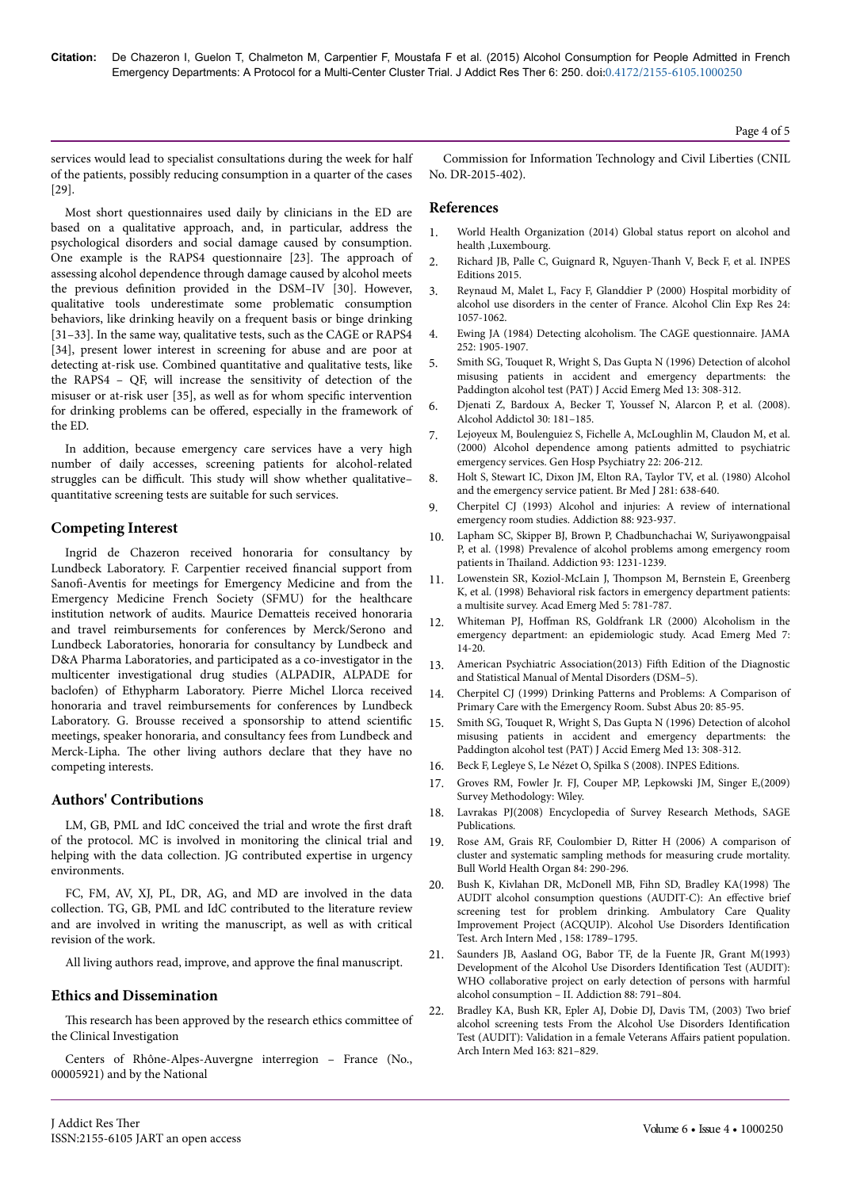services would lead to specialist consultations during the week for half of the patients, possibly reducing consumption in a quarter of the cases [29].

Most short questionnaires used daily by clinicians in the ED are based on a qualitative approach, and, in particular, address the psychological disorders and social damage caused by consumption. One example is the RAPS4 questionnaire [23]. Нe approach of assessing alcohol dependence through damage caused by alcohol meets the previous definition provided in the DSM-IV [30]. However, qualitative tools underestimate some problematic consumption behaviors, like drinking heavily on a frequent basis or binge drinking [31–33]. In the same way, qualitative tests, such as the CAGE or RAPS4 [34], present lower interest in screening for abuse and are poor at detecting at-risk use. Combined quantitative and qualitative tests, like the RAPS4 – QF, will increase the sensitivity of detection of the misuser or at-risk user [35], as well as for whom specific intervention for drinking problems can be offered, especially in the framework of the ED.

In addition, because emergency care services have a very high number of daily accesses, screening patients for alcohol-related struggles can be difficult. This study will show whether qualitative– quantitative screening tests are suitable for such services.

# **Competing Interest**

Ingrid de Chazeron received honoraria for consultancy by Lundbeck Laboratory. F. Carpentier received financial support from Sanofi-Aventis for meetings for Emergency Medicine and from the Emergency Medicine French Society (SFMU) for the healthcare institution network of audits. Maurice Dematteis received honoraria and travel reimbursements for conferences by Merck/Serono and Lundbeck Laboratories, honoraria for consultancy by Lundbeck and D&A Pharma Laboratories, and participated as a co-investigator in the multicenter investigational drug studies (ALPADIR, ALPADE for baclofen) of Ethypharm Laboratory. Pierre Michel Llorca received honoraria and travel reimbursements for conferences by Lundbeck Laboratory. G. Brousse received a sponsorship to attend scientific meetings, speaker honoraria, and consultancy fees from Lundbeck and Merck-Lipha. Нe other living authors declare that they have no competing interests.

# **Authors' Contributions**

LM, GB, PML and IdC conceived the trial and wrote the first draft of the protocol. MC is involved in monitoring the clinical trial and helping with the data collection. JG contributed expertise in urgency environments.

FC, FM, AV, XJ, PL, DR, AG, and MD are involved in the data collection. TG, GB, PML and IdC contributed to the literature review and are involved in writing the manuscript, as well as with critical revision of the work.

All living authors read, improve, and approve the final manuscript.

## **Ethics and Dissemination**

This research has been approved by the research ethics committee of the Clinical Investigation

Centers of Rhône-Alpes-Auvergne interregion – France (No., 00005921) and by the National

Commission for Information Technology and Civil Liberties (CNIL No. DR-2015-402).

## **References**

- 1. World Health Organization (2014) Global status report on alcohol and health ,Luxembourg.
- 2. Richard JB, Palle C, Guignard R, Nguyen-Thanh V, Beck F, et al. INPES Editions 2015.
- 3. [Reynaud M, Malet L, Facy F, Glanddier P \(2000\) Hospital morbidity of](http://www.ncbi.nlm.nih.gov/pubmed/10924010) [alcohol use disorders in the center of France. Alcohol Clin Exp Res 24:](http://www.ncbi.nlm.nih.gov/pubmed/10924010) [1057-1062.](http://www.ncbi.nlm.nih.gov/pubmed/10924010)
- 4. [Ewing JA \(1984\) Detecting alcoholism.](http://www.ncbi.nlm.nih.gov/pubmed/6471323) Нe CAGE questionnaire. JAMA [252: 1905-1907.](http://www.ncbi.nlm.nih.gov/pubmed/6471323)
- 5. [Smith SG, Touquet R, Wright S, Das Gupta N \(1996\) Detection of alcohol](http://www.ncbi.nlm.nih.gov/pubmed/8894853) [misusing patients in accident and emergency departments: the](http://www.ncbi.nlm.nih.gov/pubmed/8894853) [Paddington alcohol test \(PAT\) J Accid Emerg Med 13: 308-312.](http://www.ncbi.nlm.nih.gov/pubmed/8894853)
- 6. Djenati Z, Bardoux A, Becker T, Youssef N, Alarcon P, et al. (2008). Alcohol Addictol 30: 181–185.
- [Lejoyeux M, Boulenguiez S, Fichelle A, McLoughlin M, Claudon M, et al.](http://www.ncbi.nlm.nih.gov/pubmed/10880716) [\(2000\) Alcohol dependence among patients admitted to psychiatric](http://www.ncbi.nlm.nih.gov/pubmed/10880716) [emergency services. Gen Hosp Psychiatry 22: 206-212.](http://www.ncbi.nlm.nih.gov/pubmed/10880716)
- 8. [Holt S, Stewart IC, Dixon JM, Elton RA, Taylor TV, et al. \(1980\) Alcohol](http://www.ncbi.nlm.nih.gov/pubmed/7437745) [and the emergency service patient. Br Med J 281: 638-640.](http://www.ncbi.nlm.nih.gov/pubmed/7437745)
- 9. [Cherpitel CJ \(1993\) Alcohol and injuries: A review of international](http://www.ncbi.nlm.nih.gov/pubmed/8358264) [emergency room studies. Addiction 88: 923-937.](http://www.ncbi.nlm.nih.gov/pubmed/8358264)
- 10. [Lapham SC, Skipper BJ, Brown P, Chadbunchachai W, Suriyawongpaisal](http://www.ncbi.nlm.nih.gov/pubmed/9813904) [P, et al. \(1998\) Prevalence of alcohol problems among emergency room](http://www.ncbi.nlm.nih.gov/pubmed/9813904) patients in Thailand. [Addiction 93: 1231-1239.](http://www.ncbi.nlm.nih.gov/pubmed/9813904)
- 11. [Lowenstein SR, Koziol-McLain J,](http://www.ncbi.nlm.nih.gov/pubmed/9715239) Нompson M, Bernstein E, Greenberg [K, et al. \(1998\) Behavioral risk factors in emergency department patients:](http://www.ncbi.nlm.nih.gov/pubmed/9715239) [a multisite survey. Acad Emerg Med 5: 781-787.](http://www.ncbi.nlm.nih.gov/pubmed/9715239)
- 12. Whiteman PJ, Hoffman [RS, Goldfrank LR \(2000\) Alcoholism in the](http://www.ncbi.nlm.nih.gov/pubmed/10894237) [emergency department: an epidemiologic study. Acad Emerg Med 7:](http://www.ncbi.nlm.nih.gov/pubmed/10894237) [14-20.](http://www.ncbi.nlm.nih.gov/pubmed/10894237)
- 13. American Psychiatric Association(2013) Fifth Edition of the Diagnostic and Statistical Manual of Mental Disorders (DSM–5).
- 14. [Cherpitel CJ \(1999\) Drinking Patterns and Problems: A Comparison of](http://www.ncbi.nlm.nih.gov/pubmed/12511823) [Primary Care with the Emergency Room. Subst Abus 20: 85-95.](http://www.ncbi.nlm.nih.gov/pubmed/12511823)
- 15. [Smith SG, Touquet R, Wright S, Das Gupta N \(1996\) Detection of alcohol](http://www.ncbi.nlm.nih.gov/pubmed/8894853) [misusing patients in accident and emergency departments: the](http://www.ncbi.nlm.nih.gov/pubmed/8894853) [Paddington alcohol test \(PAT\) J Accid Emerg Med 13: 308-312.](http://www.ncbi.nlm.nih.gov/pubmed/8894853)
- 16. Beck F, Legleye S, Le Nézet O, Spilka S (2008). INPES Editions.
- 17. Groves RM, Fowler Jr. FJ, Couper MP, Lepkowski JM, Singer E,(2009) Survey Methodology: Wiley.
- 18. Lavrakas PJ(2008) Encyclopedia of Survey Research Methods, SAGE Publications.
- 19. [Rose AM, Grais RF, Coulombier D, Ritter H \(2006\) A comparison of](http://www.ncbi.nlm.nih.gov/pubmed/16628302) [cluster and systematic sampling methods for measuring crude mortality.](http://www.ncbi.nlm.nih.gov/pubmed/16628302) [Bull World Health Organ 84: 290-296.](http://www.ncbi.nlm.nih.gov/pubmed/16628302)
- 20. Bush K, Kivlahan DR, McDonell MB, Fihn SD, Bradley KA(1998) Нe AUDIT alcohol consumption questions (AUDIT-C): An effective brief screening test for problem drinking. Ambulatory Care Quality Improvement Project (ACQUIP). Alcohol Use Disorders Identification Test. Arch Intern Med , 158: 1789–1795.
- 21. Saunders JB, Aasland OG, Babor TF, de la Fuente JR, Grant M(1993) Development of the Alcohol Use Disorders Identification Test (AUDIT): WHO collaborative project on early detection of persons with harmful alcohol consumption – II. Addiction 88: 791–804.
- 22. Bradley KA, Bush KR, Epler AJ, Dobie DJ, Davis TM, (2003) Two brief alcohol screening tests From the Alcohol Use Disorders Identification Test (AUDIT): Validation in a female Veterans Affairs patient population. Arch Intern Med 163: 821–829.